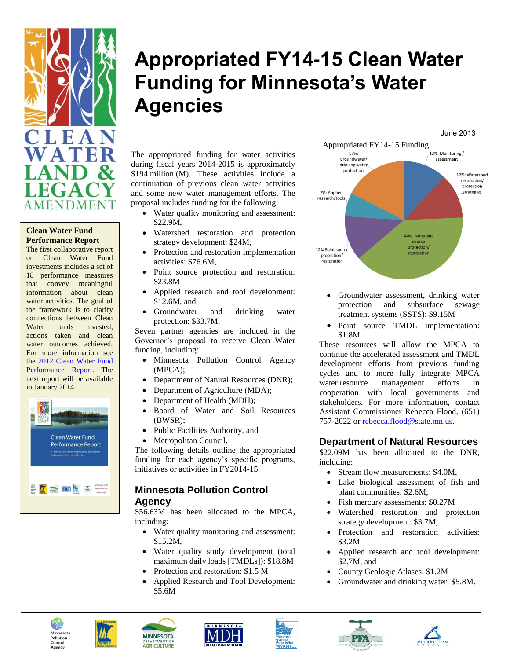

## **Clean Water Fund Performance Report**

The first collaborative report on Clean Water Fund investments includes a set of 18 performance measures that convey meaningful information about clean water activities. The goal of the framework is to clarify connections between Clean Water funds invested, actions taken and clean water outcomes achieved. For more information see the [2012 Clean Water Fund](http://www.legacy.leg.mn/sites/default/files/resources/2012%20Clean%20Water%20Fund%20Performance%20Report_low%20resolution%20for%20web.pdf) [Performance Report.](http://www.legacy.leg.mn/sites/default/files/resources/2012%20Clean%20Water%20Fund%20Performance%20Report_low%20resolution%20for%20web.pdf) The next report will be available in January 2014.



# **Appropriated FY14-15 Clean Water Funding for Minnesota's Water Agencies**

June 2013

The appropriated funding for water activities during fiscal years 2014-2015 is approximately \$194 million (M). These activities include a continuation of previous clean water activities and some new water management efforts. The proposal includes funding for the following:

- Water quality monitoring and assessment: \$22.9M,
- Watershed restoration and protection strategy development: \$24M,
- Protection and restoration implementation activities: \$76.6M,
- Point source protection and restoration: \$23.8M
- Applied research and tool development: \$12.6M, and
- Groundwater and drinking water protection: \$33.7M.

Seven partner agencies are included in the Governor's proposal to receive Clean Water funding, including:

- Minnesota Pollution Control Agency (MPCA);
- Department of Natural Resources (DNR);
- Department of Agriculture (MDA);
- Department of Health (MDH);
- Board of Water and Soil Resources (BWSR);
- Public Facilities Authority, and
- Metropolitan Council.

The following details outline the appropriated funding for each agency's specific programs, initiatives or activities in FY2014-15.

# **Minnesota Pollution Control Agency**

\$56.63M has been allocated to the MPCA, including:

- Water quality monitoring and assessment: \$15.2M,
- Water quality study development (total maximum daily loads [TMDLs]): \$18.8M
- Protection and restoration: \$1.5 M
- Applied Research and Tool Development: \$5.6M



- Groundwater assessment, drinking water protection and subsurface sewage treatment systems (SSTS): \$9.15M
- Point source TMDL implementation: \$1.8M

These resources will allow the MPCA to continue the accelerated assessment and TMDL development efforts from previous funding cycles and to more fully integrate MPCA water resource management efforts in cooperation with local governments and stakeholders. For more information, contact Assistant Commissioner Rebecca Flood, (651) 757-2022 or rebecca.flood@state.mn.us.

#### **Department of Natural Resources**

\$22.09M has been allocated to the DNR, including:

- Stream flow measurements: \$4.0M,
- Lake biological assessment of fish and plant communities: \$2.6M,
- Fish mercury assessments: \$0.27M
- Watershed restoration and protection strategy development: \$3.7M,
- Protection and restoration activities: \$3.2M
- Applied research and tool development: \$2.7M, and
- County Geologic Atlases: \$1.2M
- Groundwater and drinking water: \$5.8M.





**MINNESOTA AGRICULTURE**